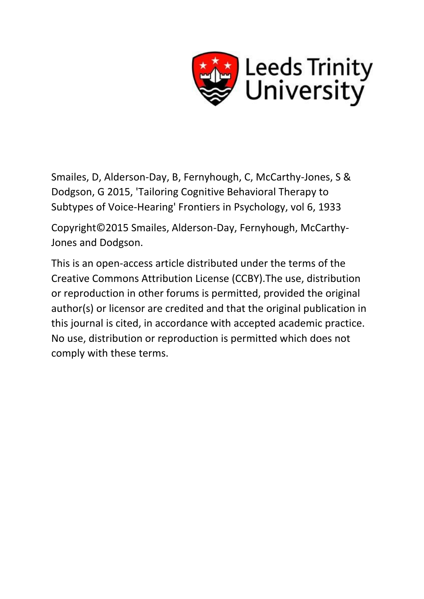

Smailes, D, Alderson-Day, B, Fernyhough, C, McCarthy-Jones, S & Dodgson, G 2015, 'Tailoring Cognitive Behavioral Therapy to Subtypes of Voice-Hearing' Frontiers in Psychology, vol 6, 1933

Copyright©2015 Smailes, Alderson-Day, Fernyhough, McCarthy-Jones and Dodgson.

This is an open-access article distributed under the terms of the Creative Commons Attribution License (CCBY).The use, distribution or reproduction in other forums is permitted, provided the original author(s) or licensor are credited and that the original publication in this journal is cited, in accordance with accepted academic practice. No use, distribution or reproduction is permitted which does not comply with these terms.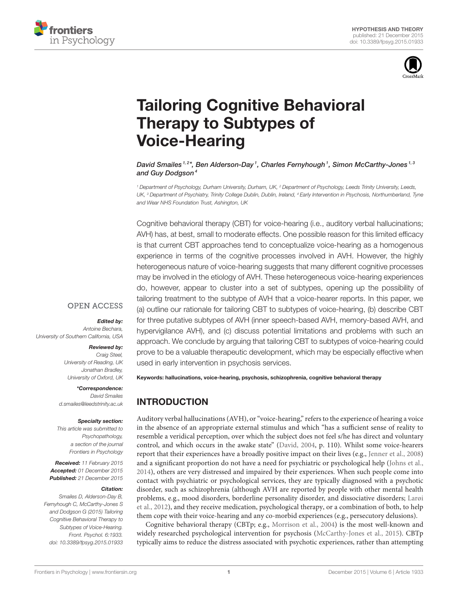



# [Tailoring Cognitive Behavioral](http://journal.frontiersin.org/article/10.3389/fpsyg.2015.01933/abstract) Therapy to Subtypes of Voice-Hearing

#### [David Smailes](http://loop.frontiersin.org/people/175144/overview)<sup>1,2\*</sup>, [Ben Alderson-Day](http://loop.frontiersin.org/people/83251/overview)<sup>1</sup>, [Charles Fernyhough](http://loop.frontiersin.org/people/69831/overview)<sup>1</sup>, [Simon McCarthy-Jones](http://loop.frontiersin.org/people/80140/overview)<sup>1,3</sup> and [Guy Dodgson](http://loop.frontiersin.org/people/237831/overview) $4$

*<sup>1</sup> Department of Psychology, Durham University, Durham, UK, <sup>2</sup> Department of Psychology, Leeds Trinity University, Leeds, UK, <sup>3</sup> Department of Psychiatry, Trinity College Dublin, Dublin, Ireland, <sup>4</sup> Early Intervention in Psychosis, Northumberland, Tyne and Wear NHS Foundation Trust, Ashington, UK*

Cognitive behavioral therapy (CBT) for voice-hearing (i.e., auditory verbal hallucinations; AVH) has, at best, small to moderate effects. One possible reason for this limited efficacy is that current CBT approaches tend to conceptualize voice-hearing as a homogenous experience in terms of the cognitive processes involved in AVH. However, the highly heterogeneous nature of voice-hearing suggests that many different cognitive processes may be involved in the etiology of AVH. These heterogeneous voice-hearing experiences do, however, appear to cluster into a set of subtypes, opening up the possibility of tailoring treatment to the subtype of AVH that a voice-hearer reports. In this paper, we (a) outline our rationale for tailoring CBT to subtypes of voice-hearing, (b) describe CBT for three putative subtypes of AVH (inner speech-based AVH, memory-based AVH, and hypervigilance AVH), and (c) discuss potential limitations and problems with such an approach. We conclude by arguing that tailoring CBT to subtypes of voice-hearing could prove to be a valuable therapeutic development, which may be especially effective when used in early intervention in psychosis services.

Keywords: hallucinations, voice-hearing, psychosis, schizophrenia, cognitive behavioral therapy

# INTRODUCTION

Auditory verbal hallucinations (AVH), or "voice-hearing," refers to the experience of hearing a voice in the absence of an appropriate external stimulus and which "has a sufficient sense of reality to resemble a veridical perception, over which the subject does not feel s/he has direct and voluntary control, and which occurs in the awake state" [\(David, 2004,](#page-9-0) p. 110). Whilst some voice-hearers report that their experiences have a broadly positive impact on their lives (e.g., [Jenner et al., 2008\)](#page-9-1) and a significant proportion do not have a need for psychiatric or psychological help [\(Johns et al.,](#page-9-2) [2014\)](#page-9-2), others are very distressed and impaired by their experiences. When such people come into contact with psychiatric or psychological services, they are typically diagnosed with a psychotic disorder, such as schizophrenia (although AVH are reported by people with other mental health problems, e.g., mood disorders, borderline personality disorder, and dissociative disorders; Larøi et al., [2012\)](#page-9-3), and they receive medication, psychological therapy, or a combination of both, to help them cope with their voice-hearing and any co-morbid experiences (e.g., persecutory delusions).

Cognitive behavioral therapy (CBTp; e.g., [Morrison et al., 2004\)](#page-10-0) is the most well-known and widely researched psychological intervention for psychosis [\(McCarthy-Jones et al., 2015\)](#page-9-4). CBTp typically aims to reduce the distress associated with psychotic experiences, rather than attempting

#### **OPEN ACCESS**

Edited by:

*Antoine Bechara, University of Southern California, USA*

#### Reviewed by:

*Craig Steel, University of Reading, UK Jonathan Bradley, University of Oxford, UK*

#### \*Correspondence:

*David Smailes [d.smailes@leedstrinity.ac.uk](mailto:d.smailes@leedstrinity.ac.uk)*

#### Specialty section:

*This article was submitted to Psychopathology, a section of the journal Frontiers in Psychology*

Received: *11 February 2015* Accepted: *01 December 2015* Published: *21 December 2015*

#### Citation:

*Smailes D, Alderson-Day B, Fernyhough C, McCarthy-Jones S and Dodgson G (2015) Tailoring Cognitive Behavioral Therapy to Subtypes of Voice-Hearing. Front. Psychol. 6:1933. doi: [10.3389/fpsyg.2015.01933](http://dx.doi.org/10.3389/fpsyg.2015.01933)*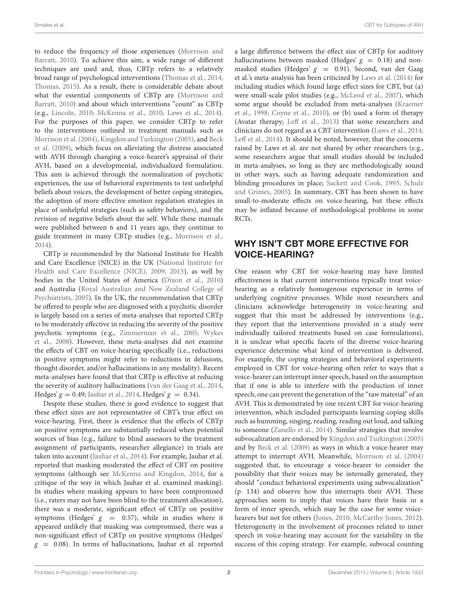to reduce the frequency of those experiences (Morrison and Barratt, [2010\)](#page-10-1). To achieve this aim, a wide range of different techniques are used and, thus, CBTp refers to a relatively broad range of psychological interventions [\(Thomas et al., 2014;](#page-10-2) [Thomas, 2015\)](#page-10-3). As a result, there is considerable debate about what the essential components of CBTp are (Morrison and Barratt, [2010\)](#page-10-1) and about which interventions "count" as CBTp (e.g., [Lincoln, 2010;](#page-9-5) [McKenna et al., 2010;](#page-10-4) [Laws et al., 2014\)](#page-9-6). For the purposes of this paper, we consider CBTp to refer to the interventions outlined in treatment manuals such as [Morrison et al. \(2004\)](#page-10-0), [Kingdon and Turkington \(2005\)](#page-9-7), and Beck et al. [\(2009\)](#page-8-0), which focus on alleviating the distress associated with AVH through changing a voice-hearer's appraisal of their AVH, based on a developmental, individualized formulation. This aim is achieved through the normalization of psychotic experiences, the use of behavioral experiments to test unhelpful beliefs about voices, the development of better coping strategies, the adoption of more effective emotion regulation strategies in place of unhelpful strategies (such as safety behaviors), and the revision of negative beliefs about the self. While these manuals were published between 6 and 11 years ago, they continue to guide treatment in many CBTp studies (e.g., [Morrison et al.,](#page-10-5) [2014\)](#page-10-5).

CBTp is recommended by the National Institute for Health and Care Excellence (NICE) in the UK (National Institute for Health and Care Excellence (NICE), [2009,](#page-10-6) [2015\)](#page-10-7), as well by bodies in the United States of America [\(Dixon et al., 2010\)](#page-9-8) and Australia (Royal Australian and New Zealand College of Psychiatrists, [2005\)](#page-10-8). In the UK, the recommendation that CBTp be offered to people who are diagnosed with a psychotic disorder is largely based on a series of meta-analyses that reported CBTp to be moderately effective in reducing the severity of the positive psychotic symptoms (e.g., [Zimmerman et al., 2005;](#page-10-9) Wykes et al., [2008\)](#page-10-10). However, these meta-analyses did not examine the effects of CBT on voice-hearing specifically (i.e., reductions in positive symptoms might refer to reductions in delusions, thought disorder, and/or hallucinations in any modality). Recent meta-analyses have found that that CBTp is effective at reducing the severity of auditory hallucinations [\(van der Gaag et al., 2014,](#page-10-11) Hedges'  $g = 0.49$ ; [Jauhar et al., 2014,](#page-9-9) Hedges'  $g = 0.34$ ).

Despite these studies, there is good evidence to suggest that these effect sizes are not representative of CBT's true effect on voice-hearing. First, there is evidence that the effects of CBTp on positive symptoms are substantially reduced when potential sources of bias (e.g., failure to blind assessors to the treatment assignment of participants, researcher allegiance) in trials are taken into account [\(Jauhar et al., 2014\)](#page-9-9). For example, Jauhar et al. reported that masking moderated the effect of CBT on positive symptoms (although see [McKenna and Kingdon, 2014,](#page-10-12) for a critique of the way in which Jauhar et al. examined masking). In studies where masking appears to have been compromised (i.e., raters may not have been blind to the treatment allocation), there was a moderate, significant effect of CBTp on positive symptoms (Hedges'  $g = 0.57$ ), while in studies where it appeared unlikely that masking was compromised, there was a non-significant effect of CBTp on positive symptoms (Hedges'  $g = 0.08$ ). In terms of hallucinations, Jauhar et al. reported a large difference between the effect size of CBTp for auditory hallucinations between masked (Hedges'  $g = 0.18$ ) and nonmasked studies (Hedges'  $g = 0.91$ ). Second, van der Gaag et al.'s meta-analysis has been criticized by [Laws et al. \(2014\)](#page-9-6) for including studies which found large effect sizes for CBT, but (a) were small-scale pilot studies (e.g., [McLeod et al., 2007\)](#page-10-13), which

some argue should be excluded from meta-analyses (Kraemer et al., [1998;](#page-9-10) [Coyne et al., 2010\)](#page-9-11), or (b) used a form of therapy (Avatar therapy; [Leff et al., 2013\)](#page-9-12) that some researchers and clinicians do not regard as a CBT intervention [\(Laws et al., 2014;](#page-9-6) [Leff et al., 2014\)](#page-9-13). It should be noted, however, that the concerns raised by Laws et al. are not shared by other researchers (e.g., some researchers argue that small studies should be included in meta-analyses, so long as they are methodologically sound in other ways, such as having adequate randomization and blinding procedures in place; [Sackett and Cook, 1993;](#page-10-14) Schulz and Grimes, [2005\)](#page-10-15). In summary, CBT has been shown to have small-to-moderate effects on voice-hearing, but these effects may be inflated because of methodological problems in some RCTs.

## WHY ISN'T CBT MORE EFFECTIVE FOR VOICE-HEARING?

One reason why CBT for voice-hearing may have limited effectiveness is that current interventions typically treat voicehearing as a relatively homogenous experience in terms of underlying cognitive processes. While most researchers and clinicians acknowledge heterogeneity in voice-hearing and suggest that this must be addressed by interventions (e.g., they report that the interventions provided in a study were individually tailored treatments based on case formulations), it is unclear what specific facets of the diverse voice-hearing experience determine what kind of intervention is delivered. For example, the coping strategies and behavioral experiments employed in CBT for voice-hearing often refer to ways that a voice-hearer can interrupt inner speech, based on the assumption that if one is able to interfere with the production of inner speech, one can prevent the generation of the "raw material" of an AVH. This is demonstrated by one recent CBT for voice-hearing intervention, which included participants learning coping skills such as humming, singing, reading, reading out loud, and talking to someone [\(Zanello et al., 2014\)](#page-10-16). Similar strategies that involve subvocalization are endorsed by [Kingdon and Turkington \(2005\)](#page-9-7) and by [Beck et al. \(2009\)](#page-8-0) as ways in which a voice-hearer may attempt to interrupt AVH. Meanwhile, [Morrison et al. \(2004\)](#page-10-0) suggested that, to encourage a voice-hearer to consider the possibility that their voices may be internally generated, they should "conduct behavioral experiments using subvocalization" (p. 134) and observe how this interrupts their AVH. These approaches seem to imply that voices have their basis in a form of inner speech, which may be the case for some voicehearers but not for others [\(Jones, 2010;](#page-9-14) [McCarthy-Jones, 2012\)](#page-9-15). Heterogeneity in the involvement of processes related to inner speech in voice-hearing may account for the variability in the success of this coping strategy. For example, subvocal counting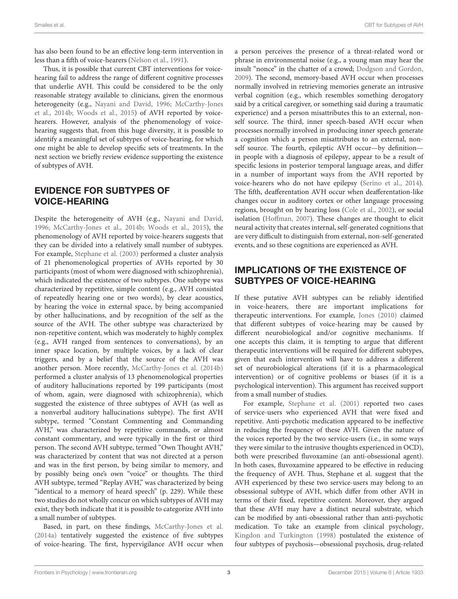has also been found to be an effective long-term intervention in less than a fifth of voice-hearers [\(Nelson et al., 1991\)](#page-10-17).

Thus, it is possible that current CBT interventions for voicehearing fail to address the range of different cognitive processes that underlie AVH. This could be considered to be the only reasonable strategy available to clinicians, given the enormous heterogeneity (e.g., [Nayani and David, 1996;](#page-10-18) McCarthy-Jones et al., [2014b;](#page-9-16) [Woods et al., 2015\)](#page-10-19) of AVH reported by voicehearers. However, analysis of the phenomenology of voicehearing suggests that, from this huge diversity, it is possible to identify a meaningful set of subtypes of voice-hearing, for which one might be able to develop specific sets of treatments. In the next section we briefly review evidence supporting the existence of subtypes of AVH.

## EVIDENCE FOR SUBTYPES OF VOICE-HEARING

Despite the heterogeneity of AVH (e.g., [Nayani and David,](#page-10-18) [1996;](#page-10-18) [McCarthy-Jones et al., 2014b;](#page-9-16) [Woods et al., 2015\)](#page-10-19), the phenomenology of AVH reported by voice-hearers suggests that they can be divided into a relatively small number of subtypes. For example, [Stephane et al. \(2003\)](#page-10-20) performed a cluster analysis of 21 phenomenological properties of AVHs reported by 30 participants (most of whom were diagnosed with schizophrenia), which indicated the existence of two subtypes. One subtype was characterized by repetitive, simple content (e.g., AVH consisted of repeatedly hearing one or two words), by clear acoustics, by hearing the voice in external space, by being accompanied by other hallucinations, and by recognition of the self as the source of the AVH. The other subtype was characterized by non-repetitive content, which was moderately to highly complex (e.g., AVH ranged from sentences to conversations), by an inner space location, by multiple voices, by a lack of clear triggers, and by a belief that the source of the AVH was another person. More recently, [McCarthy-Jones et al. \(2014b\)](#page-9-16) performed a cluster analysis of 13 phenomenological properties of auditory hallucinations reported by 199 participants (most of whom, again, were diagnosed with schizophrenia), which suggested the existence of three subtypes of AVH (as well as a nonverbal auditory hallucinations subtype). The first AVH subtype, termed "Constant Commenting and Commanding AVH," was characterized by repetitive commands, or almost constant commentary, and were typically in the first or third person. The second AVH subtype, termed "Own Thought AVH," was characterized by content that was not directed at a person and was in the first person, by being similar to memory, and by possibly being one's own "voice" or thoughts. The third AVH subtype, termed "Replay AVH," was characterized by being "identical to a memory of heard speech" (p. 229). While these two studies do not wholly concur on which subtypes of AVH may exist, they both indicate that it is possible to categorize AVH into a small number of subtypes.

Based, in part, on these findings, [McCarthy-Jones et al.](#page-9-17) [\(2014a\)](#page-9-17) tentatively suggested the existence of five subtypes of voice-hearing. The first, hypervigilance AVH occur when a person perceives the presence of a threat-related word or phrase in environmental noise (e.g., a young man may hear the insult "nonce" in the chatter of a crowd; [Dodgson and Gordon,](#page-9-18) [2009\)](#page-9-18). The second, memory-based AVH occur when processes normally involved in retrieving memories generate an intrusive verbal cognition (e.g., which resembles something derogatory said by a critical caregiver, or something said during a traumatic experience) and a person misattributes this to an external, nonself source. The third, inner speech-based AVH occur when processes normally involved in producing inner speech generate a cognition which a person misattributes to an external, nonself source. The fourth, epileptic AVH occur—by definition in people with a diagnosis of epilepsy, appear to be a result of specific lesions in posterior temporal language areas, and differ in a number of important ways from the AVH reported by voice-hearers who do not have epilepsy [\(Serino et al., 2014\)](#page-10-21). The fifth, deafferentation AVH occur when deafferentation-like changes occur in auditory cortex or other language processing regions, brought on by hearing loss [\(Cole et al., 2002\)](#page-8-1), or social isolation [\(Hoffman, 2007\)](#page-9-19). These changes are thought to elicit neural activity that creates internal, self-generated cognitions that are very difficult to distinguish from external, non-self-generated events, and so these cognitions are experienced as AVH.

# IMPLICATIONS OF THE EXISTENCE OF SUBTYPES OF VOICE-HEARING

If these putative AVH subtypes can be reliably identified in voice-hearers, there are important implications for therapeutic interventions. For example, [Jones \(2010\)](#page-9-14) claimed that different subtypes of voice-hearing may be caused by different neurobiological and/or cognitive mechanisms. If one accepts this claim, it is tempting to argue that different therapeutic interventions will be required for different subtypes, given that each intervention will have to address a different set of neurobiological alterations (if it is a pharmacological intervention) or of cognitive problems or biases (if it is a psychological intervention). This argument has received support from a small number of studies.

For example, [Stephane et al. \(2001\)](#page-10-22) reported two cases of service-users who experienced AVH that were fixed and repetitive. Anti-psychotic medication appeared to be ineffective in reducing the frequency of these AVH. Given the nature of the voices reported by the two service-users (i.e., in some ways they were similar to the intrusive thoughts experienced in OCD), both were prescribed fluvoxamine (an anti-obsessional agent). In both cases, fluvoxamine appeared to be effective in reducing the frequency of AVH. Thus, Stephane et al. suggest that the AVH experienced by these two service-users may belong to an obsessional subtype of AVH, which differ from other AVH in terms of their fixed, repetitive content. Moreover, they argued that these AVH may have a distinct neural substrate, which can be modified by anti-obsessional rather than anti-psychotic medication. To take an example from clinical psychology, [Kingdon and Turkington \(1998\)](#page-9-20) postulated the existence of four subtypes of psychosis—obsessional psychosis, drug-related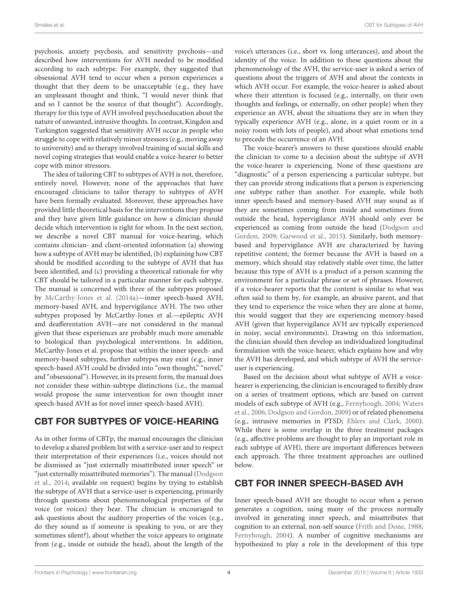psychosis, anxiety psychosis, and sensitivity psychosis—and described how interventions for AVH needed to be modified according to each subtype. For example, they suggested that obsessional AVH tend to occur when a person experiences a thought that they deem to be unacceptable (e.g., they have an unpleasant thought and think, "I would never think that and so I cannot be the source of that thought"). Accordingly, therapy for this type of AVH involved psychoeducation about the nature of unwanted, intrusive thoughts. In contrast, Kingdon and Turkington suggested that sensitivity AVH occur in people who struggle to cope with relatively minor stressors (e.g., moving away to university) and so therapy involved training of social skills and novel coping strategies that would enable a voice-hearer to better cope with minor stressors.

The idea of tailoring CBT to subtypes of AVH is not, therefore, entirely novel. However, none of the approaches that have encouraged clinicians to tailor therapy to subtypes of AVH have been formally evaluated. Moreover, these approaches have provided little theoretical basis for the interventions they propose and they have given little guidance on how a clinician should decide which intervention is right for whom. In the next section, we describe a novel CBT manual for voice-hearing, which contains clinician- and client-oriented information (a) showing how a subtype of AVH may be identified, (b) explaining how CBT should be modified according to the subtype of AVH that has been identified, and (c) providing a theoretical rationale for why CBT should be tailored in a particular manner for each subtype. The manual is concerned with three of the subtypes proposed by [McCarthy-Jones et al. \(2014a\)](#page-9-17)—inner speech-based AVH, memory-based AVH, and hypervigilance AVH. The two other subtypes proposed by McCarthy-Jones et al.—epileptic AVH and deafferentation AVH—are not considered in the manual given that these experiences are probably much more amenable to biological than psychological interventions. In addition, McCarthy-Jones et al. propose that within the inner speech- and memory-based subtypes, further subtypes may exist (e.g., inner speech-based AVH could be divided into "own thought," "novel," and "obsessional"). However, in its present form, the manual does not consider these within-subtype distinctions (i.e., the manual would propose the same intervention for own thought inner speech-based AVH as for novel inner speech-based AVH).

# CBT FOR SUBTYPES OF VOICE-HEARING

As in other forms of CBTp, the manual encourages the clinician to develop a shared problem list with a service-user and to respect their interpretation of their experiences (i.e., voices should not be dismissed as "just externally misattributed inner speech" or "just externally misattributed memories"). The manual (Dodgson et al., [2014;](#page-9-21) available on request) begins by trying to establish the subtype of AVH that a service-user is experiencing, primarily through questions about phenomenological properties of the voice (or voices) they hear. The clinician is encouraged to ask questions about the auditory properties of the voices (e.g., do they sound as if someone is speaking to you, or are they sometimes silent?), about whether the voice appears to originate from (e.g., inside or outside the head), about the length of the voice's utterances (i.e., short vs. long utterances), and about the identity of the voice. In addition to these questions about the phenomenology of the AVH, the service-user is asked a series of questions about the triggers of AVH and about the contexts in which AVH occur. For example, the voice-hearer is asked about where their attention is focused (e.g., internally, on their own thoughts and feelings, or externally, on other people) when they experience an AVH, about the situations they are in when they typically experience AVH (e.g., alone, in a quiet room or in a noisy room with lots of people), and about what emotions tend to precede the occurrence of an AVH.

The voice-hearer's answers to these questions should enable the clinician to come to a decision about the subtype of AVH the voice-hearer is experiencing. None of these questions are "diagnostic" of a person experiencing a particular subtype, but they can provide strong indications that a person is experiencing one subtype rather than another. For example, while both inner speech-based and memory-based AVH may sound as if they are sometimes coming from inside and sometimes from outside the head, hypervigilance AVH should only ever be experienced as coming from outside the head (Dodgson and Gordon, [2009;](#page-9-18) [Garwood et al., 2015\)](#page-9-22). Similarly, both memorybased and hypervigilance AVH are characterized by having repetitive content; the former because the AVH is based on a memory, which should stay relatively stable over time, the latter because this type of AVH is a product of a person scanning the environment for a particular phrase or set of phrases. However, if a voice-hearer reports that the content is similar to what was often said to them by, for example, an abusive parent, and that they tend to experience the voice when they are alone at home, this would suggest that they are experiencing memory-based AVH (given that hypervigilance AVH are typically experienced in noisy, social environments). Drawing on this information, the clinician should then develop an individualized longitudinal formulation with the voice-hearer, which explains how and why the AVH has developed, and which subtype of AVH the serviceuser is experiencing.

Based on the decision about what subtype of AVH a voicehearer is experiencing, the clinician is encouraged to flexibly draw on a series of treatment options, which are based on current models of each subtype of AVH (e.g., [Fernyhough, 2004;](#page-9-23) Waters et al., [2006;](#page-10-23) [Dodgson and Gordon, 2009\)](#page-9-18) or of related phenomena (e.g., intrusive memories in PTSD; [Ehlers and Clark, 2000\)](#page-9-24). While there is some overlap in the three treatment packages (e.g., affective problems are thought to play an important role in each subtype of AVH), there are important differences between each approach. The three treatment approaches are outlined below.

## CBT FOR INNER SPEECH-BASED AVH

Inner speech-based AVH are thought to occur when a person generates a cognition, using many of the process normally involved in generating inner speech, and misattributes that cognition to an external, non-self source [\(Frith and Done, 1988;](#page-9-25) [Fernyhough, 2004\)](#page-9-23). A number of cognitive mechanisms are hypothesized to play a role in the development of this type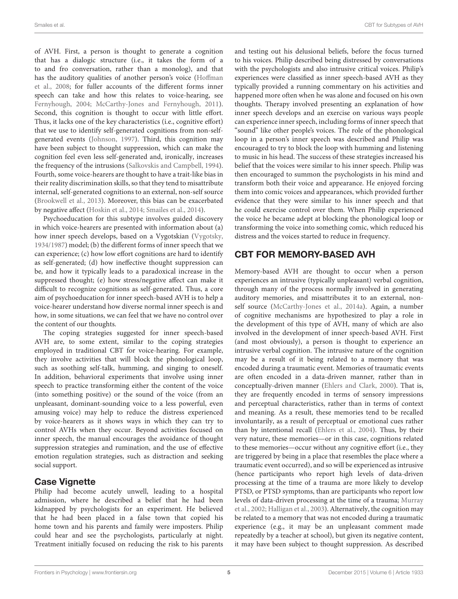of AVH. First, a person is thought to generate a cognition that has a dialogic structure (i.e., it takes the form of a to and fro conversation, rather than a monolog), and that has the auditory qualities of another person's voice (Hoffman et al., [2008;](#page-9-26) for fuller accounts of the different forms inner speech can take and how this relates to voice-hearing, see [Fernyhough, 2004;](#page-9-23) [McCarthy-Jones and Fernyhough, 2011\)](#page-9-27). Second, this cognition is thought to occur with little effort. Thus, it lacks one of the key characteristics (i.e., cognitive effort) that we use to identify self-generated cognitions from non-selfgenerated events [\(Johnson, 1997\)](#page-9-28). Third, this cognition may have been subject to thought suppression, which can make the cognition feel even less self-generated and, ironically, increases the frequency of the intrusions [\(Salkovskis and Campbell, 1994\)](#page-10-24). Fourth, some voice-hearers are thought to have a trait-like bias in their reality discrimination skills, so that they tend to misattribute internal, self-generated cognitions to an external, non-self source [\(Brookwell et al., 2013\)](#page-8-2). Moreover, this bias can be exacerbated by negative affect [\(Hoskin et al., 2014;](#page-9-29) [Smailes et al., 2014\)](#page-10-25).

Psychoeducation for this subtype involves guided discovery in which voice-hearers are presented with information about (a) how inner speech develops, based on a Vygotskian [\(Vygotsky,](#page-10-26) [1934/1987\)](#page-10-26) model; (b) the different forms of inner speech that we can experience; (c) how low effort cognitions are hard to identify as self-generated; (d) how ineffective thought suppression can be, and how it typically leads to a paradoxical increase in the suppressed thought; (e) how stress/negative affect can make it difficult to recognize cognitions as self-generated. Thus, a core aim of psychoeducation for inner speech-based AVH is to help a voice-hearer understand how diverse normal inner speech is and how, in some situations, we can feel that we have no control over the content of our thoughts.

The coping strategies suggested for inner speech-based AVH are, to some extent, similar to the coping strategies employed in traditional CBT for voice-hearing. For example, they involve activities that will block the phonological loop, such as soothing self-talk, humming, and singing to oneself. In addition, behavioral experiments that involve using inner speech to practice transforming either the content of the voice (into something positive) or the sound of the voice (from an unpleasant, dominant-sounding voice to a less powerful, even amusing voice) may help to reduce the distress experienced by voice-hearers as it shows ways in which they can try to control AVHs when they occur. Beyond activities focused on inner speech, the manual encourages the avoidance of thought suppression strategies and rumination, and the use of effective emotion regulation strategies, such as distraction and seeking social support.

## Case Vignette

Philip had become acutely unwell, leading to a hospital admission, where he described a belief that he had been kidnapped by psychologists for an experiment. He believed that he had been placed in a false town that copied his home town and his parents and family were imposters. Philip could hear and see the psychologists, particularly at night. Treatment initially focused on reducing the risk to his parents and testing out his delusional beliefs, before the focus turned to his voices. Philip described being distressed by conversations with the psychologists and also intrusive critical voices. Philip's experiences were classified as inner speech-based AVH as they typically provided a running commentary on his activities and happened more often when he was alone and focused on his own thoughts. Therapy involved presenting an explanation of how inner speech develops and an exercise on various ways people can experience inner speech, including forms of inner speech that "sound" like other people's voices. The role of the phonological loop in a person's inner speech was described and Philip was encouraged to try to block the loop with humming and listening to music in his head. The success of these strategies increased his belief that the voices were similar to his inner speech. Philip was then encouraged to summon the psychologists in his mind and transform both their voice and appearance. He enjoyed forcing them into comic voices and appearances, which provided further evidence that they were similar to his inner speech and that he could exercise control over them. When Philip experienced the voice he became adept at blocking the phonological loop or transforming the voice into something comic, which reduced his distress and the voices started to reduce in frequency.

# CBT FOR MEMORY-BASED AVH

Memory-based AVH are thought to occur when a person experiences an intrusive (typically unpleasant) verbal cognition, through many of the process normally involved in generating auditory memories, and misattributes it to an external, nonself source [\(McCarthy-Jones et al., 2014a\)](#page-9-17). Again, a number of cognitive mechanisms are hypothesized to play a role in the development of this type of AVH, many of which are also involved in the development of inner speech-based AVH. First (and most obviously), a person is thought to experience an intrusive verbal cognition. The intrusive nature of the cognition may be a result of it being related to a memory that was encoded during a traumatic event. Memories of traumatic events are often encoded in a data-driven manner, rather than in conceptually-driven manner [\(Ehlers and Clark, 2000\)](#page-9-24). That is, they are frequently encoded in terms of sensory impressions and perceptual characteristics, rather than in terms of context and meaning. As a result, these memories tend to be recalled involuntarily, as a result of perceptual or emotional cues rather than by intentional recall [\(Ehlers et al., 2004\)](#page-9-30). Thus, by their very nature, these memories—or in this case, cognitions related to these memories—occur without any cognitive effort (i.e., they are triggered by being in a place that resembles the place where a traumatic event occurred), and so will be experienced as intrusive (hence participants who report high levels of data-driven processing at the time of a trauma are more likely to develop PTSD, or PTSD symptoms, than are participants who report low levels of data-driven processing at the time of a trauma; Murray et al., [2002;](#page-10-27) [Halligan et al., 2003\)](#page-9-31). Alternatively, the cognition may be related to a memory that was not encoded during a traumatic experience (e.g., it may be an unpleasant comment made repeatedly by a teacher at school), but given its negative content, it may have been subject to thought suppression. As described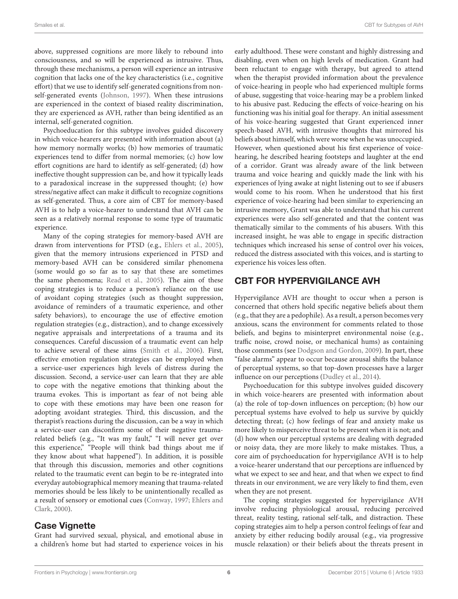above, suppressed cognitions are more likely to rebound into consciousness, and so will be experienced as intrusive. Thus, through these mechanisms, a person will experience an intrusive cognition that lacks one of the key characteristics (i.e., cognitive effort) that we use to identify self-generated cognitions from nonself-generated events [\(Johnson, 1997\)](#page-9-28). When these intrusions are experienced in the context of biased reality discrimination, they are experienced as AVH, rather than being identified as an internal, self-generated cognition.

Psychoeducation for this subtype involves guided discovery in which voice-hearers are presented with information about (a) how memory normally works; (b) how memories of traumatic experiences tend to differ from normal memories; (c) how low effort cognitions are hard to identify as self-generated; (d) how ineffective thought suppression can be, and how it typically leads to a paradoxical increase in the suppressed thought; (e) how stress/negative affect can make it difficult to recognize cognitions as self-generated. Thus, a core aim of CBT for memory-based AVH is to help a voice-hearer to understand that AVH can be seen as a relatively normal response to some type of traumatic experience.

Many of the coping strategies for memory-based AVH are drawn from interventions for PTSD (e.g., [Ehlers et al., 2005\)](#page-9-32), given that the memory intrusions experienced in PTSD and memory-based AVH can be considered similar phenomena (some would go so far as to say that these are sometimes the same phenomena; [Read et al., 2005\)](#page-10-28). The aim of these coping strategies is to reduce a person's reliance on the use of avoidant coping strategies (such as thought suppression, avoidance of reminders of a traumatic experience, and other safety behaviors), to encourage the use of effective emotion regulation strategies (e.g., distraction), and to change excessively negative appraisals and interpretations of a trauma and its consequences. Careful discussion of a traumatic event can help to achieve several of these aims [\(Smith et al., 2006\)](#page-10-29). First, effective emotion regulation strategies can be employed when a service-user experiences high levels of distress during the discussion. Second, a service-user can learn that they are able to cope with the negative emotions that thinking about the trauma evokes. This is important as fear of not being able to cope with these emotions may have been one reason for adopting avoidant strategies. Third, this discussion, and the therapist's reactions during the discussion, can be a way in which a service-user can disconfirm some of their negative traumarelated beliefs (e.g., "It was my fault," "I will never get over this experience," "People will think bad things about me if they know about what happened"). In addition, it is possible that through this discussion, memories and other cognitions related to the traumatic event can begin to be re-integrated into everyday autobiographical memory meaning that trauma-related memories should be less likely to be unintentionally recalled as a result of sensory or emotional cues [\(Conway, 1997;](#page-8-3) Ehlers and Clark, [2000\)](#page-9-24).

#### Case Vignette

Grant had survived sexual, physical, and emotional abuse in a children's home but had started to experience voices in his early adulthood. These were constant and highly distressing and disabling, even when on high levels of medication. Grant had been reluctant to engage with therapy, but agreed to attend when the therapist provided information about the prevalence of voice-hearing in people who had experienced multiple forms of abuse, suggesting that voice-hearing may be a problem linked to his abusive past. Reducing the effects of voice-hearing on his functioning was his initial goal for therapy. An initial assessment of his voice-hearing suggested that Grant experienced inner speech-based AVH, with intrusive thoughts that mirrored his beliefs about himself, which were worse when he was unoccupied. However, when questioned about his first experience of voicehearing, he described hearing footsteps and laughter at the end of a corridor. Grant was already aware of the link between trauma and voice hearing and quickly made the link with his experiences of lying awake at night listening out to see if abusers would come to his room. When he understood that his first experience of voice-hearing had been similar to experiencing an intrusive memory, Grant was able to understand that his current experiences were also self-generated and that the content was thematically similar to the comments of his abusers. With this increased insight, he was able to engage in specific distraction techniques which increased his sense of control over his voices, reduced the distress associated with this voices, and is starting to experience his voices less often.

# CBT FOR HYPERVIGILANCE AVH

Hypervigilance AVH are thought to occur when a person is concerned that others hold specific negative beliefs about them (e.g., that they are a pedophile). As a result, a person becomes very anxious, scans the environment for comments related to those beliefs, and begins to misinterpret environmental noise (e.g., traffic noise, crowd noise, or mechanical hums) as containing those comments (see [Dodgson and Gordon, 2009\)](#page-9-18). In part, these "false alarms" appear to occur because arousal shifts the balance of perceptual systems, so that top-down processes have a larger influence on our perceptions [\(Dudley et al., 2014\)](#page-9-33).

Psychoeducation for this subtype involves guided discovery in which voice-hearers are presented with information about (a) the role of top-down influences on perception; (b) how our perceptual systems have evolved to help us survive by quickly detecting threat; (c) how feelings of fear and anxiety make us more likely to misperceive threat to be present when it is not; and (d) how when our perceptual systems are dealing with degraded or noisy data, they are more likely to make mistakes. Thus, a core aim of psychoeducation for hypervigilance AVH is to help a voice-hearer understand that our perceptions are influenced by what we expect to see and hear, and that when we expect to find threats in our environment, we are very likely to find them, even when they are not present.

The coping strategies suggested for hypervigilance AVH involve reducing physiological arousal, reducing perceived threat, reality testing, rational self-talk, and distraction. These coping strategies aim to help a person control feelings of fear and anxiety by either reducing bodily arousal (e.g., via progressive muscle relaxation) or their beliefs about the threats present in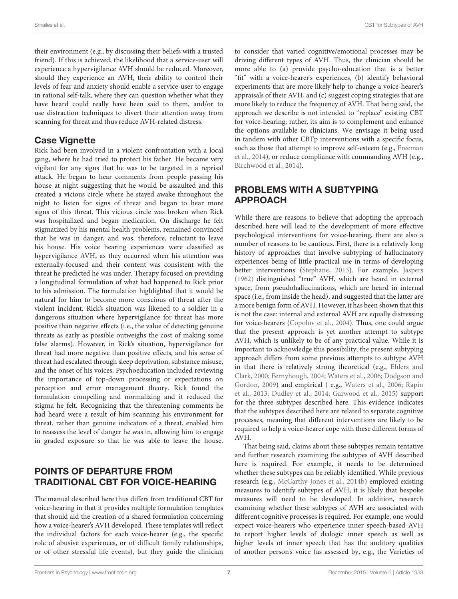their environment (e.g., by discussing their beliefs with a trusted friend). If this is achieved, the likelihood that a service-user will experience a hypervigilance AVH should be reduced. Moreover, should they experience an AVH, their ability to control their levels of fear and anxiety should enable a service-user to engage in rational self-talk, where they can question whether what they have heard could really have been said to them, and/or to use distraction techniques to divert their attention away from scanning for threat and thus reduce AVH-related distress.

#### **Case Vignette**

Rick had been involved in a violent confrontation with a local gang, where he had tried to protect his father. He became very vigilant for any signs that he was to be targeted in a reprisal attack. He began to hear comments from people passing his house at night suggesting that he would be assaulted and this created a vicious circle where he stayed awake throughout the night to listen for signs of threat and began to hear more signs of this threat. This vicious circle was broken when Rick was hospitalized and began medication. On discharge he felt stigmatized by his mental health problems, remained convinced that he was in danger, and was, therefore, reluctant to leave his house. His voice hearing experiences were classified as hypervigilance AVH, as they occurred when his attention was externally-focused and their content was consistent with the threat he predicted he was under. Therapy focused on providing a longitudinal formulation of what had happened to Rick prior to his admission. The formulation highlighted that it would be natural for him to become more conscious of threat after the violent incident. Rick's situation was likened to a soldier in a dangerous situation where hypervigilance for threat has more positive than negative effects (i.e., the value of detecting genuine threats as early as possible outweighs the cost of making some false alarms). However, in Rick's situation, hypervigilance for threat had more negative than positive effects, and his sense of threat had escalated through sleep deprivation, substance misuse, and the onset of his voices. Psychoeducation included reviewing the importance of top-down processing or expectations on perception and error management theory. Rick found the formulation compelling and normalizing and it reduced the stigma he felt. Recognizing that the threatening comments he had heard were a result of him scanning his environment for threat, rather than genuine indicators of a threat, enabled him to reassess the level of danger he was in, allowing him to engage in graded exposure so that he was able to leave the house.

## POINTS OF DEPARTURE FROM TRADITIONAL CBT FOR VOICE-HEARING

The manual described here thus differs from traditional CBT for voice-hearing in that it provides multiple formulation templates that should aid the creation of a shared formulation concerning how a voice-hearer's AVH developed. These templates will reflect the individual factors for each voice-hearer (e.g., the specific role of abusive experiences, or of difficult family relationships, or of other stressful life events), but they guide the clinician to consider that varied cognitive/emotional processes may be driving different types of AVH. Thus, the clinician should be more able to (a) provide psycho-education that is a better "fit" with a voice-hearer's experiences, (b) identify behavioral experiments that are more likely help to change a voice-hearer's appraisals of their AVH, and (c) suggest coping strategies that are more likely to reduce the frequency of AVH. That being said, the approach we describe is not intended to "replace" existing CBT for voice-hearing; rather, its aim is to complement and enhance the options available to clinicians. We envisage it being used in tandem with other CBTp interventions with a specific focus, such as those that attempt to improve self-esteem (e.g., Freeman et al., [2014\)](#page-9-34), or reduce compliance with commanding AVH (e.g., [Birchwood et al., 2014\)](#page-8-4).

## PROBLEMS WITH A SUBTYPING APPROACH

While there are reasons to believe that adopting the approach described here will lead to the development of more effective psychological interventions for voice-hearing, there are also a number of reasons to be cautious. First, there is a relatively long history of approaches that involve subtyping of hallucinatory experiences being of little practical use in terms of developing better interventions [\(Stephane, 2013\)](#page-10-30). For example, [Jaspers](#page-9-35) [\(1962\)](#page-9-35) distinguished "true" AVH, which are heard in external space, from pseudohallucinations, which are heard in internal space (i.e., from inside the head), and suggested that the latter are a more benign form of AVH. However, it has been shown that this is not the case: internal and external AVH are equally distressing for voice-hearers [\(Copolov et al., 2004\)](#page-8-5). Thus, one could argue that the present approach is yet another attempt to subtype AVH, which is unlikely to be of any practical value. While it is important to acknowledge this possibility, the present subtyping approach differs from some previous attempts to subtype AVH in that there is relatively strong theoretical (e.g., Ehlers and Clark, [2000;](#page-9-24) [Fernyhough, 2004;](#page-9-23) [Waters et al., 2006;](#page-10-23) Dodgson and Gordon, [2009\)](#page-9-18) and empirical ( e.g., [Waters et al., 2006;](#page-10-23) Rapin et al., [2013;](#page-10-31) [Dudley et al., 2014;](#page-9-33) [Garwood et al., 2015\)](#page-9-22) support for the three subtypes described here. This evidence indicates that the subtypes described here are related to separate cognitive processes, meaning that different interventions are likely to be required to help a voice-hearer cope with these different forms of AVH.

That being said, claims about these subtypes remain tentative and further research examining the subtypes of AVH described here is required. For example, it needs to be determined whether these subtypes can be reliably identified. While previous research (e.g., [McCarthy-Jones et al., 2014b\)](#page-9-16) employed existing measures to identify subtypes of AVH, it is likely that bespoke measures will need to be developed. In addition, research examining whether these subtypes of AVH are associated with different cognitive processes is required. For example, one would expect voice-hearers who experience inner speech-based AVH to report higher levels of dialogic inner speech as well as higher levels of inner speech that has the auditory qualities of another person's voice (as assessed by, e.g., the Varieties of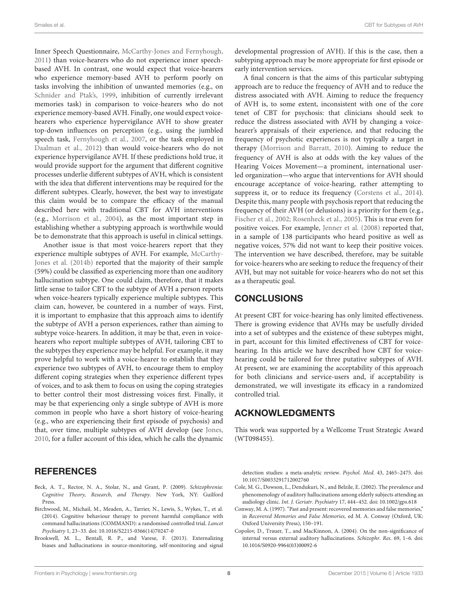Inner Speech Questionnaire, [McCarthy-Jones and Fernyhough,](#page-9-27) [2011\)](#page-9-27) than voice-hearers who do not experience inner speechbased AVH. In contrast, one would expect that voice-hearers who experience memory-based AVH to perform poorly on tasks involving the inhibition of unwanted memories (e.g., on [Schnider and Ptak's, 1999,](#page-10-32) inhibition of currently irrelevant memories task) in comparison to voice-hearers who do not experience memory-based AVH. Finally, one would expect voicehearers who experience hypervigilance AVH to show greater top-down influences on perception (e.g., using the jumbled speech task, [Fernyhough et al., 2007,](#page-9-36) or the task employed in [Daalman et al., 2012\)](#page-9-37) than would voice-hearers who do not experience hypervigilance AVH. If these predictions hold true, it would provide support for the argument that different cognitive processes underlie different subtypes of AVH, which is consistent with the idea that different interventions may be required for the different subtypes. Clearly, however, the best way to investigate this claim would be to compare the efficacy of the manual described here with traditional CBT for AVH interventions (e.g., [Morrison et al., 2004\)](#page-10-0), as the most important step in establishing whether a subtyping approach is worthwhile would be to demonstrate that this approach is useful in clinical settings.

Another issue is that most voice-hearers report that they experience multiple subtypes of AVH. For example, McCarthy-Jones et al. [\(2014b\)](#page-9-16) reported that the majority of their sample (59%) could be classified as experiencing more than one auditory hallucination subtype. One could claim, therefore, that it makes little sense to tailor CBT to the subtype of AVH a person reports when voice-hearers typically experience multiple subtypes. This claim can, however, be countered in a number of ways. First, it is important to emphasize that this approach aims to identify the subtype of AVH a person experiences, rather than aiming to subtype voice-hearers. In addition, it may be that, even in voicehearers who report multiple subtypes of AVH, tailoring CBT to the subtypes they experience may be helpful. For example, it may prove helpful to work with a voice-hearer to establish that they experience two subtypes of AVH, to encourage them to employ different coping strategies when they experience different types of voices, and to ask them to focus on using the coping strategies to better control their most distressing voices first. Finally, it may be that experiencing only a single subtype of AVH is more common in people who have a short history of voice-hearing (e.g., who are experiencing their first episode of psychosis) and that, over time, multiple subtypes of AVH develop (see [Jones,](#page-9-14) [2010,](#page-9-14) for a fuller account of this idea, which he calls the dynamic

#### **REFERENCES**

- <span id="page-8-0"></span>Beck, A. T., Rector, N. A., Stolar, N., and Grant, P. (2009). Schizophrenia: Cognitive Theory, Research, and Therapy. New York, NY: Guilford Press.
- <span id="page-8-4"></span>Birchwood, M., Michail, M., Meaden, A., Tarrier, N., Lewis, S., Wykes, T., et al. (2014). Cognitive behaviour therapy to prevent harmful compliance with command hallucinations (COMMAND): a randomised controlled trial. Lancet Psychiatry 1, 23–33. doi: 10.1016/S2215-0366(14)70247-0
- <span id="page-8-2"></span>Brookwell, M. L., Bentall, R. P., and Varese, F. (2013). Externalizing biases and hallucinations in source-monitoring, self-monitoring and signal

developmental progression of AVH). If this is the case, then a subtyping approach may be more appropriate for first episode or early intervention services.

A final concern is that the aims of this particular subtyping approach are to reduce the frequency of AVH and to reduce the distress associated with AVH. Aiming to reduce the frequency of AVH is, to some extent, inconsistent with one of the core tenet of CBT for psychosis: that clinicians should seek to reduce the distress associated with AVH by changing a voicehearer's appraisals of their experience, and that reducing the frequency of psychotic experiences is not typically a target in therapy [\(Morrison and Barratt, 2010\)](#page-10-1). Aiming to reduce the frequency of AVH is also at odds with the key values of the Hearing Voices Movement—a prominent, international userled organization—who argue that interventions for AVH should encourage acceptance of voice-hearing, rather attempting to suppress it, or to reduce its frequency [\(Corstens et al., 2014\)](#page-9-38). Despite this, many people with psychosis report that reducing the frequency of their AVH (or delusions) is a priority for them (e.g., [Fischer et al., 2002;](#page-9-39) [Rosenheck et al., 2005\)](#page-10-33). This is true even for positive voices. For example, [Jenner et al. \(2008\)](#page-9-1) reported that, in a sample of 138 participants who heard positive as well as negative voices, 57% did not want to keep their positive voices. The intervention we have described, therefore, may be suitable for voice-hearers who are seeking to reduce the frequency of their AVH, but may not suitable for voice-hearers who do not set this as a therapeutic goal.

#### **CONCLUSIONS**

At present CBT for voice-hearing has only limited effectiveness. There is growing evidence that AVHs may be usefully divided into a set of subtypes and the existence of these subtypes might, in part, account for this limited effectiveness of CBT for voicehearing. In this article we have described how CBT for voicehearing could be tailored for three putative subtypes of AVH. At present, we are examining the acceptability of this approach for both clinicians and service-users and, if acceptability is demonstrated, we will investigate its efficacy in a randomized controlled trial.

#### ACKNOWLEDGMENTS

This work was supported by a Wellcome Trust Strategic Award (WT098455).

detection studies: a meta-analytic review. Psychol. Med. 43, 2465–2475. doi: 10.1017/S0033291712002760

- <span id="page-8-1"></span>Cole, M. G., Dowson, L., Dendukuri, N., and Belzile, E. (2002). The prevalence and phenomenology of auditory hallucinations among elderly subjects attending an audiology clinic. Int. J. Geriatr. Psychiatry 17, 444–452. doi: 10.1002/gps.618
- <span id="page-8-3"></span>Conway, M. A. (1997). "Past and present: recovered memories and false memories," in Recovered Memories and False Memories, ed M. A. Conway (Oxford, UK: Oxford University Press), 150–191.
- <span id="page-8-5"></span>Copolov, D., Trauer, T., and MacKinnon, A. (2004). On the non-significance of internal versus external auditory hallucinations. Schizophr. Res. 69, 1–6. doi: 10.1016/S0920-9964(03)00092-6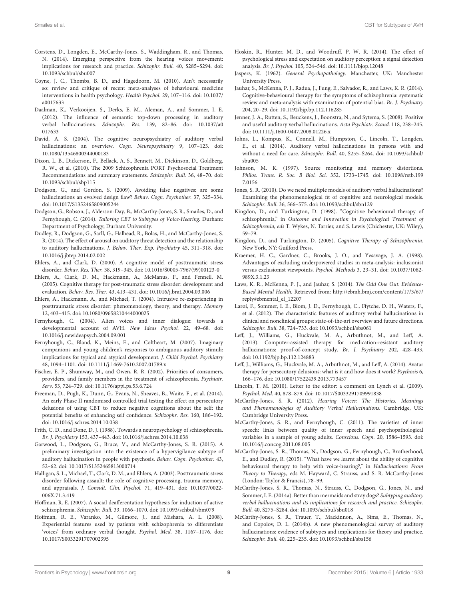- <span id="page-9-38"></span>Corstens, D., Longden, E., McCarthy-Jones, S., Waddingham, R., and Thomas, N. (2014). Emerging perspective from the hearing voices movement: implications for research and practice. Schizophr. Bull. 40, S285–S294. doi: 10.1093/schbul/sbu007
- <span id="page-9-11"></span>Coyne, J. C., Thombs, B. D., and Hagedoorn, M. (2010). Ain't necessarily so: review and critique of recent meta-analyses of behavioural medicine interventions in health psychology. Health Psychol. 29, 107–116. doi: 10.1037/ a0017633
- <span id="page-9-37"></span>Daalman, K., Verkooijen, S., Derks, E. M., Aleman, A., and Sommer, I. E. (2012). The influence of semantic top-down processing in auditory verbal hallucinations. Schizophr. Res. 139, 82–86. doi: 10.1037/a0 017633
- <span id="page-9-0"></span>David, A. S. (2004). The cognitive neuropsychiatry of auditory verbal hallucinations: an overview. Cogn. Neuropsychiatry 9, 107-123. doi: 10.1080/13546800344000183
- <span id="page-9-8"></span>Dixon, L. B., Dickerson, F., Bellack, A. S., Bennett, M., Dickinson, D., Goldberg, R. W., et al. (2010). The 2009 Schizophrenia PORT Psychosocial Treatment Recommendations and summary statements. Schizophr. Bull. 36, 48–70. doi: 10.1093/schbul/sbp115
- <span id="page-9-18"></span>Dodgson, G., and Gordon, S. (2009). Avoiding false negatives: are some hallucinations an evolved design flaw? Behav. Cogn. Psychother. 37, 325–334. doi: 10.1017/S1352465809005244
- <span id="page-9-21"></span>Dodgson, G., Robson, J., Alderson-Day, B., McCarthy-Jones, S. R., Smailes, D., and Fernyhough, C. (2014). Tailoring CBT to Subtypes of Voice-Hearing. Durham: Department of Psychology; Durham University.
- <span id="page-9-33"></span>Dudley, R., Dodgson, G., Sarll, G., Halhead, R., Bolas, H., and McCarthy-Jones, S. R. (2014). The effect of arousal on auditory threat detection and the relationship to auditory hallucinations. J. Behav. Ther. Exp. Psychiatry 45, 311–318. doi: 10.1016/j.jbtep.2014.02.002
- <span id="page-9-24"></span>Ehlers, A., and Clark, D. (2000). A cognitive model of posttraumatic stress disorder. Behav. Res. Ther. 38, 319–345. doi: 10.1016/S0005-7967(99)00123-0
- <span id="page-9-32"></span>Ehlers, A., Clark, D. M., Hackmann, A., McManus, F., and Fennell, M. (2005). Cognitive therapy for post-traumatic stress disorder: development and evaluation. Behav. Res. Ther. 43, 413–431. doi: 10.1016/j.brat.2004.03.006
- <span id="page-9-30"></span>Ehlers, A., Hackmann, A., and Michael, T. (2004). Intrusive re-experiencing in posttraumatic stress disorder: phenomenology, theory, and therapy. Memory 12, 403–415. doi: 10.1080/09658210444000025
- <span id="page-9-23"></span>Fernyhough, C. (2004). Alien voices and inner dialogue: towards a developmental account of AVH. New Ideas Psychol. 22, 49–68. doi: 10.1016/j.newideapsych.2004.09.001
- <span id="page-9-36"></span>Fernyhough, C., Bland, K., Meins, E., and Coltheart, M. (2007). Imaginary companions and young children's responses to ambiguous auditory stimuli: implications for typical and atypical development. J. Child Psychol. Psychiatry 48, 1094–1101. doi: 10.1111/j.1469-7610.2007.01789.x
- <span id="page-9-39"></span>Fischer, E. P., Shumway, M., and Owen, R. R. (2002). Priorities of consumers, providers, and family members in the treatment of schizophrenia. Psychiatr. Serv. 53, 724–729. doi: 10.1176/appi.ps.53.6.724
- <span id="page-9-34"></span>Freeman, D., Pugh, K., Dunn, G., Evans, N., Sheaves, B., Waite, F., et al. (2014). An early Phase II randomised controlled trial testing the effect on persecutory delusions of using CBT to reduce negative cognitions about the self: the potential benefits of enhancing self confidence. Schizophr. Res. 160, 186–192. doi: 10.1016/j.schres.2014.10.038
- <span id="page-9-25"></span>Frith, C. D., and Done, D. J. (1988). Towards a neuropsychology of schizophrenia. Br. J. Psychiatry 153, 437–443. doi: 10.1016/j.schres.2014.10.038
- <span id="page-9-22"></span>Garwood, L., Dodgson, G., Bruce, V., and McCarthy-Jones, S. R. (2015). A preliminary investigation into the existence of a hypervigilance subtype of auditory hallucination in people with psychosis. Behav. Cogn. Psychother. 43, 52–62. doi: 10.1017/S1352465813000714
- <span id="page-9-31"></span>Halligan, S. L., Michael, T., Clark, D. M., and Ehlers, A. (2003). Posttraumatic stress disorder following assault: the role of cognitive processing, trauma memory, and appraisals. J. Consult. Clin. Psychol. 71, 419–431. doi: 10.1037/0022- 006X.71.3.419
- <span id="page-9-19"></span>Hoffman, R. E. (2007). A social deafferentation hypothesis for induction of active schizophrenia. Schizophr. Bull. 33, 1066–1070. doi: 10.1093/schbul/sbm079
- <span id="page-9-26"></span>Hoffman, R. E., Varanko, M., Gilmore, J., and Mishara, A. L. (2008). Experiential features used by patients with schizophrenia to differentiate 'voices' from ordinary verbal thought. Psychol. Med. 38, 1167–1176. doi: 10.1017/S0033291707002395
- <span id="page-9-29"></span>Hoskin, R., Hunter, M. D., and Woodruff, P. W. R. (2014). The effect of psychological stress and expectation on auditory perception: a signal detection analysis. Br. J. Psychol. 105, 524–546. doi: 10.1111/bjop.12048
- <span id="page-9-35"></span>Jaspers, K. (1962). General Psychopathology. Manchester, UK: Manchester University Press.
- <span id="page-9-9"></span>Jauhar, S., McKenna, P. J., Radua, J., Fung, E., Salvador, R., and Laws, K. R. (2014). Cognitive-behavioural therapy for the symptoms of schizophrenia: systematic review and meta-analysis with examination of potential bias. Br. J. Psychiatry 204, 20–29. doi: 10.1192/bjp.bp.112.116285
- <span id="page-9-1"></span>Jenner, J. A., Rutten, S., Beuckens, J., Boonstra, N., and Sytema, S. (2008). Positive and useful auditory verbal hallucinations. Acta Psychiatr. Scand. 118, 238–245. doi: 10.1111/j.1600-0447.2008.01226.x
- <span id="page-9-2"></span>Johns, L., Kompus, K., Connell, M., Humpston, C., Lincoln, T., Longden, E., et al. (2014). Auditory verbal hallucinations in persons with and without a need for care. Schizophr. Bull. 40, S255–S264. doi: 10.1093/schbul/ sbu005
- <span id="page-9-28"></span>Johnson, M. K. (1997). Source monitoring and memory distortions. Philos. Trans. R. Soc. B Biol. Sci. 352, 1733–1745. doi: 10.1098/rstb.199 7.0156
- <span id="page-9-14"></span>Jones, S. R. (2010). Do we need multiple models of auditory verbal hallucinations? Examining the phenomenological fit of cognitive and neurological models. Schizophr. Bull. 36, 566–575. doi: 10.1093/schbul/sbn129
- <span id="page-9-20"></span>Kingdon, D., and Turkington, D. (1998). "Cognitive behavioural therapy of schizophrenia," in Outcome and Innovation in Psychological Treatment of Schizophrenia, eds T. Wykes, N. Tarrier, and S. Lewis (Chichester, UK: Wiley), 59–79.
- <span id="page-9-7"></span>Kingdon, D., and Turkington, D. (2005). Cognitive Therapy of Schizophrenia. New York, NY: Guilford Press.
- <span id="page-9-10"></span>Kraemer, H. C., Gardner, C., Brooks, J. O., and Yesavage, J. A. (1998). Advantages of excluding underpowered studies in meta-analysis: inclusionist versus exclusionist viewpoints. Psychol. Methods 3, 23–31. doi: 10.1037/1082- 989X.3.1.23
- <span id="page-9-6"></span>Laws, K. R., McKenna, P. J., and Jauhar, S. (2014). The Odd One Out. Evidence-Based Mental Health. Retrieved from: [http://ebmh.bmj.com/content/17/3/67/](http://ebmh.bmj.com/content/17/3/67/reply#ebmental_el_12207) [reply#ebmental\\_el\\_12207](http://ebmh.bmj.com/content/17/3/67/reply#ebmental_el_12207)
- <span id="page-9-3"></span>Larøi, F., Sommer, I. E., Blom, J. D., Fernyhough, C., Ffytche, D. H., Waters, F., et al. (2012). The characteristic features of auditory verbal hallucinations in clinical and nonclinical groups: state-of-the-art overview and future directions. Schizophr. Bull. 38, 724–733. doi: 10.1093/schbul/sbs061
- <span id="page-9-12"></span>Leff, J., Williams, G., Huckvale, M. A., Arbuthnot, M., and Leff, A. (2013). Computer-assisted therapy for medication-resistant auditory hallucinations: proof-of-concept study. Br. J. Psychiatry 202, 428-433. doi: 10.1192/bjp.bp.112.124883
- <span id="page-9-13"></span>Leff, J., Williams, G., Huckvale, M. A., Arbuthnot, M., and Leff, A. (2014). Avatar therapy for persecutory delusions: what is it and how does it work? Psychosis 6, 166–176. doi: 10.1080/17522439.2013.773457
- <span id="page-9-5"></span>Lincoln, T. M. (2010). Letter to the editor: a comment on Lynch et al. (2009). Psychol. Med. 40, 878–879. doi: 10.1017/S0033291709991838
- <span id="page-9-15"></span>McCarthy-Jones, S. R. (2012). Hearing Voices: The Histories, Meanings and Phenomenologies of Auditory Verbal Hallucinations. Cambridge, UK: Cambridge University Press.
- <span id="page-9-27"></span>McCarthy-Jones, S. R., and Fernyhough, C. (2011). The varieties of inner speech: links between quality of inner speech and psychopathological variables in a sample of young adults. Conscious. Cogn. 20, 1586–1593. doi: 10.1016/j.concog.2011.08.005
- <span id="page-9-4"></span>McCarthy-Jones, S. R., Thomas, N., Dodgson, G., Fernyhough, C., Brotherhood, E., and Dudley, R. (2015). "What have we learnt about the ability of cognitive behavioural therapy to help with voice-hearing?," in Hallucinations: From Theory to Therapy, eds M. Hayward, C. Strauss, and S. R. McCarthy-Jones (London: Taylor & Francis), 78–99.
- <span id="page-9-17"></span>McCarthy-Jones, S. R., Thomas, N., Strauss, C., Dodgson, G., Jones, N., and Sommer, I. E. (2014a). Better than mermaids and stray dogs? Subtyping auditory verbal hallucinations and its implications for research and practice. Schizophr. Bull. 40, S275–S284. doi: 10.1093/schbul/sbu018
- <span id="page-9-16"></span>McCarthy-Jones, S. R., Trauer, T., Mackinnon, A., Sims, E., Thomas, N., and Copolov, D. L. (2014b). A new phenomenological survey of auditory hallucinations: evidence of subtypes and implications for theory and practice. Schizophr. Bull. 40, 225–235. doi: 10.1093/schbul/sbs156